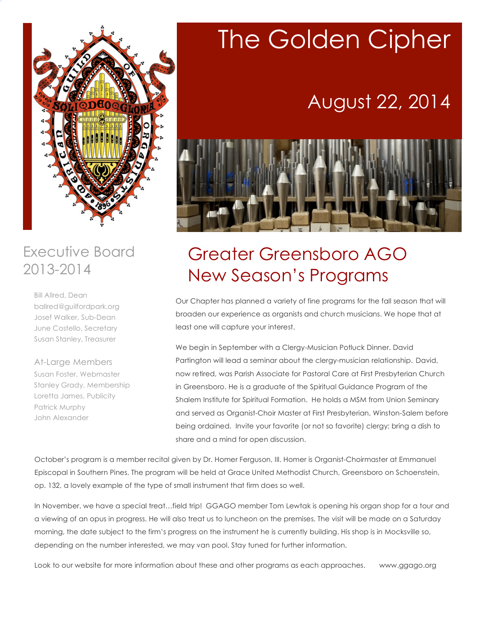

### Executive Board 2013-2014

Bill Allred, Dean ballred@guilfordpark.org Josef Walker, Sub-Dean June Costello, Secretary Susan Stanley, Treasurer

At-Large Members Susan Foster, Webmaster Stanley Grady, Membership Loretta James, Publicity Patrick Murphy John Alexander

# The Golden Cipher

## August 22, 2014



## Greater Greensboro AGO New Season's Programs

Our Chapter has planned a variety of fine programs for the fall season that will broaden our experience as organists and church musicians. We hope that at least one will capture your interest.

We begin in September with a Clergy-Musician Potluck Dinner. David Partington will lead a seminar about the clergy-musician relationship. David, now retired, was Parish Associate for Pastoral Care at First Presbyterian Church in Greensboro. He is a graduate of the Spiritual Guidance Program of the Shalem Institute for Spiritual Formation. He holds a MSM from Union Seminary and served as Organist-Choir Master at First Presbyterian, Winston-Salem before being ordained. Invite your favorite (or not so favorite) clergy; bring a dish to share and a mind for open discussion.

October's program is a member recital given by Dr. Homer Ferguson, III. Homer is Organist-Choirmaster at Emmanuel Episcopal in Southern Pines. The program will be held at Grace United Methodist Church, Greensboro on Schoenstein, op. 132, a lovely example of the type of small instrument that firm does so well.

In November, we have a special treat…field trip! GGAGO member Tom Lewtak is opening his organ shop for a tour and a viewing of an opus in progress. He will also treat us to luncheon on the premises. The visit will be made on a Saturday morning, the date subject to the firm's progress on the instrument he is currently building. His shop is in Mocksville so, depending on the number interested, we may van pool. Stay tuned for further information.

Look to our website for more information about these and other programs as each approaches. www.ggago.org